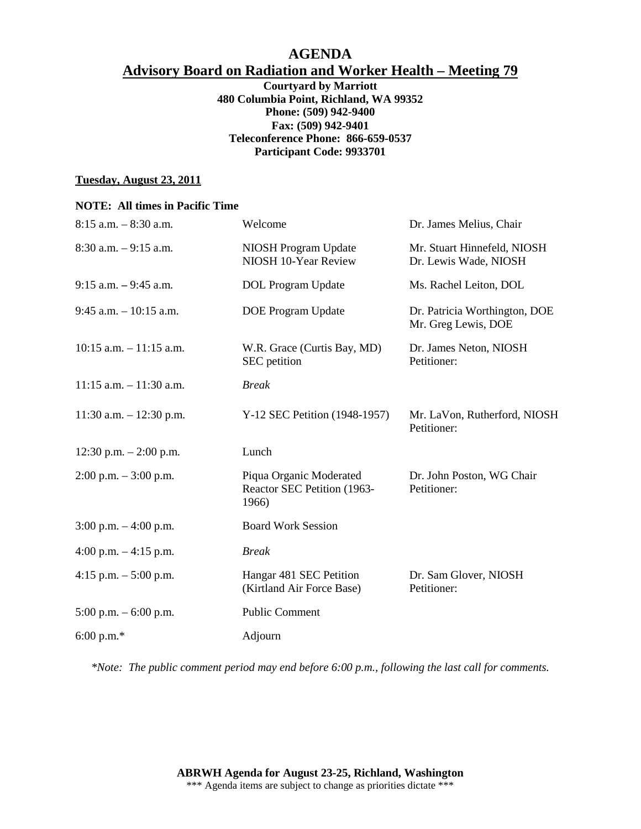# **AGENDA Advisory Board on Radiation and Worker Health – Meeting 79**

**Courtyard by Marriott 480 Columbia Point, Richland, WA 99352 Phone: (509) 942-9400 Fax: (509) 942-9401 Teleconference Phone: 866-659-0537 Participant Code: 9933701** 

#### **Tuesday, August 23, 2011**

#### **NOTE: All times in Pacific Time**

| $8:15$ a.m. $-8:30$ a.m.   | Welcome                                                         | Dr. James Melius, Chair                              |
|----------------------------|-----------------------------------------------------------------|------------------------------------------------------|
| $8:30$ a.m. $-9:15$ a.m.   | <b>NIOSH Program Update</b><br>NIOSH 10-Year Review             | Mr. Stuart Hinnefeld, NIOSH<br>Dr. Lewis Wade, NIOSH |
| $9:15$ a.m. $-9:45$ a.m.   | DOL Program Update                                              | Ms. Rachel Leiton, DOL                               |
| $9:45$ a.m. $-10:15$ a.m.  | <b>DOE Program Update</b>                                       | Dr. Patricia Worthington, DOE<br>Mr. Greg Lewis, DOE |
| $10:15$ a.m. $-11:15$ a.m. | W.R. Grace (Curtis Bay, MD)<br>SEC petition                     | Dr. James Neton, NIOSH<br>Petitioner:                |
| $11:15$ a.m. $-11:30$ a.m. | <b>Break</b>                                                    |                                                      |
| $11:30$ a.m. $-12:30$ p.m. | Y-12 SEC Petition (1948-1957)                                   | Mr. LaVon, Rutherford, NIOSH<br>Petitioner:          |
| 12:30 p.m. $- 2:00$ p.m.   | Lunch                                                           |                                                      |
| $2:00$ p.m. $-3:00$ p.m.   | Piqua Organic Moderated<br>Reactor SEC Petition (1963-<br>1966) | Dr. John Poston, WG Chair<br>Petitioner:             |
| 3:00 p.m. $-4:00$ p.m.     | <b>Board Work Session</b>                                       |                                                      |
| 4:00 p.m. $-4:15$ p.m.     | <b>Break</b>                                                    |                                                      |
| 4:15 p.m. $-$ 5:00 p.m.    | Hangar 481 SEC Petition<br>(Kirtland Air Force Base)            | Dr. Sam Glover, NIOSH<br>Petitioner:                 |
| $5:00$ p.m. $-6:00$ p.m.   | <b>Public Comment</b>                                           |                                                      |
| 6:00 p.m.*                 | Adjourn                                                         |                                                      |

*\*Note: The public comment period may end before 6:00 p.m., following the last call for comments.*

**ABRWH Agenda for August 23-25, Richland, Washington** \*\*\* Agenda items are subject to change as priorities dictate \*\*\*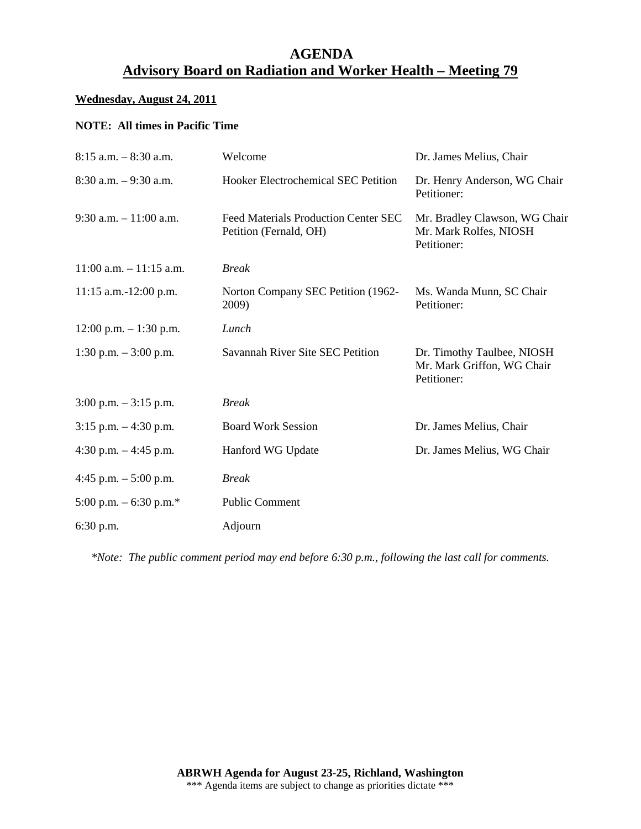# **AGENDA Advisory Board on Radiation and Worker Health – Meeting 79**

## **Wednesday, August 24, 2011**

### **NOTE: All times in Pacific Time**

| $8:15$ a.m. $-8:30$ a.m.   | Welcome                                                               | Dr. James Melius, Chair                                                 |
|----------------------------|-----------------------------------------------------------------------|-------------------------------------------------------------------------|
| $8:30$ a.m. $-9:30$ a.m.   | Hooker Electrochemical SEC Petition                                   | Dr. Henry Anderson, WG Chair<br>Petitioner:                             |
| $9:30$ a.m. $-11:00$ a.m.  | <b>Feed Materials Production Center SEC</b><br>Petition (Fernald, OH) | Mr. Bradley Clawson, WG Chair<br>Mr. Mark Rolfes, NIOSH<br>Petitioner:  |
| $11:00$ a.m. $-11:15$ a.m. | <b>Break</b>                                                          |                                                                         |
| $11:15$ a.m.-12:00 p.m.    | Norton Company SEC Petition (1962-<br>2009)                           | Ms. Wanda Munn, SC Chair<br>Petitioner:                                 |
| $12:00$ p.m. $-1:30$ p.m.  | Lunch                                                                 |                                                                         |
| 1:30 p.m. $-3:00$ p.m.     | Savannah River Site SEC Petition                                      | Dr. Timothy Taulbee, NIOSH<br>Mr. Mark Griffon, WG Chair<br>Petitioner: |
| $3:00$ p.m. $-3:15$ p.m.   | <b>Break</b>                                                          |                                                                         |
| $3:15$ p.m. $-4:30$ p.m.   | <b>Board Work Session</b>                                             | Dr. James Melius, Chair                                                 |
| 4:30 p.m. $-4:45$ p.m.     | Hanford WG Update                                                     | Dr. James Melius, WG Chair                                              |
| 4:45 p.m. $-$ 5:00 p.m.    | <b>Break</b>                                                          |                                                                         |
| 5:00 p.m. $-$ 6:30 p.m.*   | <b>Public Comment</b>                                                 |                                                                         |
| $6:30$ p.m.                | Adjourn                                                               |                                                                         |

*\*Note: The public comment period may end before 6:30 p.m., following the last call for comments.*